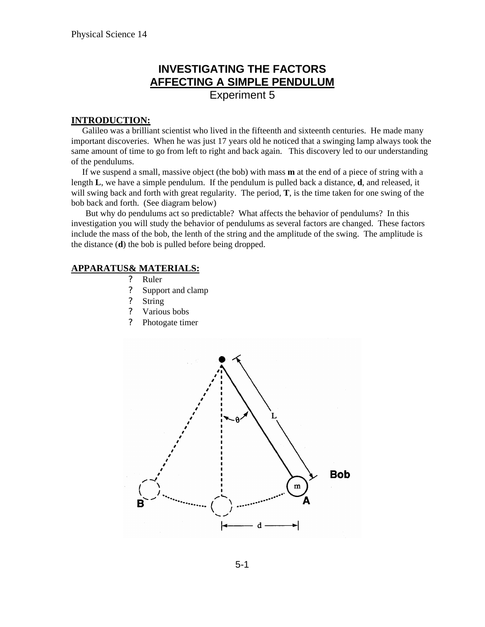# **INVESTIGATING THE FACTORS AFFECTING A SIMPLE PENDULUM**

Experiment 5

### **INTRODUCTION:**

 Galileo was a brilliant scientist who lived in the fifteenth and sixteenth centuries. He made many important discoveries. When he was just 17 years old he noticed that a swinging lamp always took the same amount of time to go from left to right and back again. This discovery led to our understanding of the pendulums.

 If we suspend a small, massive object (the bob) with mass **m** at the end of a piece of string with a length **L**, we have a simple pendulum. If the pendulum is pulled back a distance, **d**, and released, it will swing back and forth with great regularity. The period, **T**, is the time taken for one swing of the bob back and forth. (See diagram below)

But why do pendulums act so predictable? What affects the behavior of pendulums? In this investigation you will study the behavior of pendulums as several factors are changed. These factors include the mass of the bob, the lenth of the string and the amplitude of the swing. The amplitude is the distance (**d**) the bob is pulled before being dropped.

### **APPARATUS& MATERIALS:**

- ? Ruler
- ? Support and clamp
- ? String
- ? Various bobs
- ? Photogate timer

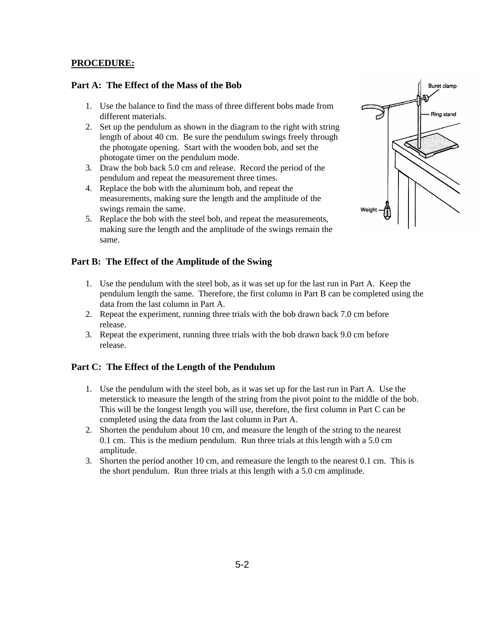### **PROCEDURE:**

### **Part A: The Effect of the Mass of the Bob**

- 1. Use the balance to find the mass of three different bobs made from different materials.
- 2. Set up the pendulum as shown in the diagram to the right with string length of about 40 cm. Be sure the pendulum swings freely through the photogate opening. Start with the wooden bob, and set the photogate timer on the pendulum mode.
- 3. Draw the bob back 5.0 cm and release. Record the period of the pendulum and repeat the measurement three times.
- 4. Replace the bob with the aluminum bob, and repeat the measurements, making sure the length and the amplitude of the swings remain the same.
- 5. Replace the bob with the steel bob, and repeat the measurements, making sure the length and the amplitude of the swings remain the same.

### **Part B: The Effect of the Amplitude of the Swing**

- 1. Use the pendulum with the steel bob, as it was set up for the last run in Part A. Keep the pendulum length the same. Therefore, the first column in Part B can be completed using the data from the last column in Part A.
- 2. Repeat the experiment, running three trials with the bob drawn back 7.0 cm before release.
- 3. Repeat the experiment, running three trials with the bob drawn back 9.0 cm before release.

#### **Part C: The Effect of the Length of the Pendulum**

- 1. Use the pendulum with the steel bob, as it was set up for the last run in Part A. Use the meterstick to measure the length of the string from the pivot point to the middle of the bob. This will be the longest length you will use, therefore, the first column in Part C can be completed using the data from the last column in Part A.
- 2. Shorten the pendulum about 10 cm, and measure the length of the string to the nearest 0.1 cm. This is the medium pendulum. Run three trials at this length with a 5.0 cm amplitude.
- 3. Shorten the period another 10 cm, and remeasure the length to the nearest 0.1 cm. This is the short pendulum. Run three trials at this length with a 5.0 cm amplitude.

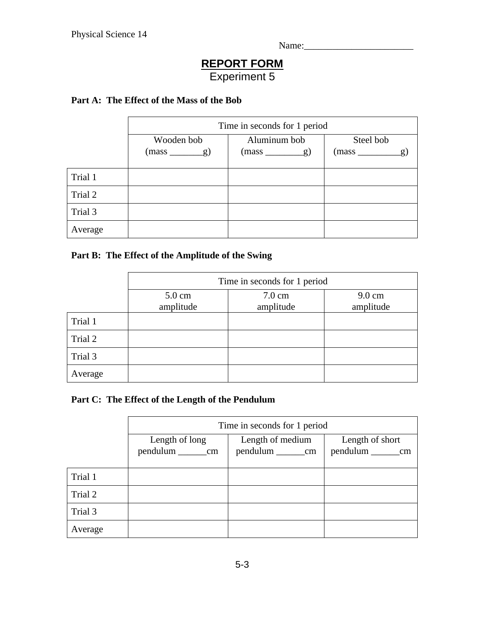Name:\_\_\_\_\_\_\_\_\_\_\_\_\_\_\_\_\_\_\_\_\_\_\_

# **REPORT FORM** Experiment 5

## **Part A: The Effect of the Mass of the Bob**

|         | Time in seconds for 1 period |                |               |  |
|---------|------------------------------|----------------|---------------|--|
|         | Wooden bob                   | Aluminum bob   | Steel bob     |  |
|         | $(mass \_\ g)$               | $(mass \_\ g)$ | $(mass \_ g)$ |  |
| Trial 1 |                              |                |               |  |
| Trial 2 |                              |                |               |  |
| Trial 3 |                              |                |               |  |
| Average |                              |                |               |  |

## **Part B: The Effect of the Amplitude of the Swing**

|         | Time in seconds for 1 period  |                               |                               |  |
|---------|-------------------------------|-------------------------------|-------------------------------|--|
|         | $5.0 \text{ cm}$<br>amplitude | $7.0 \text{ cm}$<br>amplitude | $9.0 \text{ cm}$<br>amplitude |  |
| Trial 1 |                               |                               |                               |  |
| Trial 2 |                               |                               |                               |  |
| Trial 3 |                               |                               |                               |  |
| Average |                               |                               |                               |  |

## **Part C: The Effect of the Length of the Pendulum**

|         | Time in seconds for 1 period |                        |                           |  |
|---------|------------------------------|------------------------|---------------------------|--|
|         | Length of long               | Length of medium       | Length of short           |  |
|         | pendulum _____________cm     | pendulum ___________cm | pendulum ______________cm |  |
|         |                              |                        |                           |  |
| Trial 1 |                              |                        |                           |  |
| Trial 2 |                              |                        |                           |  |
| Trial 3 |                              |                        |                           |  |
| Average |                              |                        |                           |  |